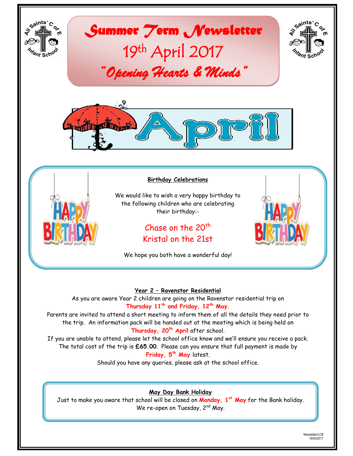

#### **Year 2 – Ravenstor Residential**

As you are aware Year 2 children are going on the Ravenstor residential trip on **Thursday 11th and Friday, 12th May.**

Parents are invited to attend a short meeting to inform them of all the details they need prior to the trip. An information pack will be handed out at the meeting which is being held on **Thursday, 20th April** after school.

If you are unable to attend, please let the school office know and we'll ensure you receive a pack. The total cost of the trip is **£65.00**. Please can you ensure that full payment is made by **Friday, 5th May** latest.

Should you have any queries, please ask at the school office.

## **May Day Bank Holiday**

Just to make you aware that school will be closed on **Monday, 1st May** for the Bank holiday. We re-open on Tuesday, 2<sup>nd</sup> May.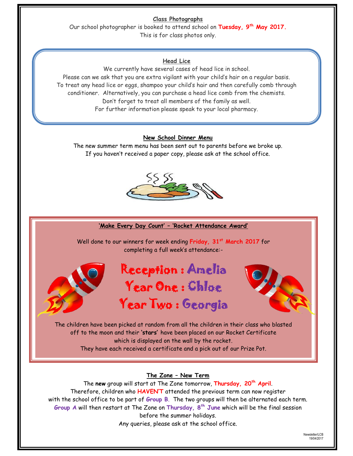**Class Photographs**

Our school photographer is booked to attend school on **Tuesday, 9th May 2017.** This is for class photos only.

### **Head Lice**

We currently have several cases of head lice in school. Please can we ask that you are extra vigilant with your child's hair on a regular basis. To treat any head lice or eggs, shampoo your child's hair and then carefully comb through conditioner. Alternatively, you can purchase a head lice comb from the chemists. Don't forget to treat all members of the family as well. For further information please speak to your local pharmacy.

#### **New School Dinner Menu**

The new summer term menu has been sent out to parents before we broke up. If you haven't received a paper copy, please ask at the school office.



#### **'Make Every Day Count' – 'Rocket Attendance Award'**

Well done to our winners for week ending **Friday, 31st March 2017** for completing a full week's attendance:-



# Reception : Amelia Year One : Chloe Year Two : Georgia



The children have been picked at random from all the children in their class who blasted off to the moon and their **'stars'** have been placed on our Rocket Certificate which is displayed on the wall by the rocket. They have each received a certificate and a pick out of our Prize Pot.

## **The Zone – New Term**

The **new** group will start at The Zone tomorrow, **Thursday, 20th April**. Therefore, children who **HAVEN'T** attended the previous term can now register with the school office to be part of **Group B**. The two groups will then be alternated each term. **Group A** will then restart at The Zone on **Thursday, 8th June** which will be the final session before the summer holidays. Any queries, please ask at the school office.

> Newsletter/LCB 19/04/2017